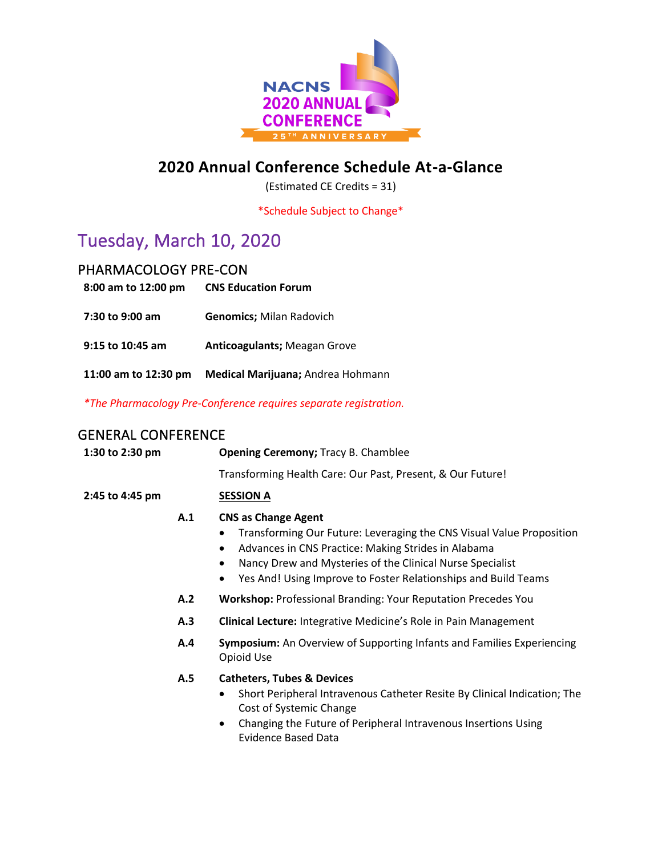

### **2020 Annual Conference Schedule At-a-Glance**

(Estimated CE Credits = 31)

\*Schedule Subject to Change\*

## Tuesday, March 10, 2020

### PHARMACOLOGY PRE-CON

| 8:00 am to 12:00 pm  | <b>CNS Education Forum</b>          |
|----------------------|-------------------------------------|
| 7:30 to 9:00 am      | <b>Genomics; Milan Radovich</b>     |
| 9:15 to 10:45 am     | <b>Anticoagulants; Meagan Grove</b> |
| 11:00 am to 12:30 pm | Medical Marijuana; Andrea Hohmann   |

*\*The Pharmacology Pre-Conference requires separate registration.*

### GENERAL CONFERENCE

| 1:30 to 2:30 pm |     | <b>Opening Ceremony; Tracy B. Chamblee</b>                                                                                                                                                                                                                                                         |
|-----------------|-----|----------------------------------------------------------------------------------------------------------------------------------------------------------------------------------------------------------------------------------------------------------------------------------------------------|
|                 |     | Transforming Health Care: Our Past, Present, & Our Future!                                                                                                                                                                                                                                         |
| 2:45 to 4:45 pm |     | <b>SESSION A</b>                                                                                                                                                                                                                                                                                   |
|                 | A.1 | <b>CNS as Change Agent</b><br>Transforming Our Future: Leveraging the CNS Visual Value Proposition<br>Advances in CNS Practice: Making Strides in Alabama<br>٠<br>Nancy Drew and Mysteries of the Clinical Nurse Specialist<br>٠<br>Yes And! Using Improve to Foster Relationships and Build Teams |
|                 | A.2 | <b>Workshop: Professional Branding: Your Reputation Precedes You</b>                                                                                                                                                                                                                               |
| A.3             |     | <b>Clinical Lecture:</b> Integrative Medicine's Role in Pain Management                                                                                                                                                                                                                            |
|                 | A.4 | Symposium: An Overview of Supporting Infants and Families Experiencing<br>Opioid Use                                                                                                                                                                                                               |
|                 | A.5 | <b>Catheters, Tubes &amp; Devices</b><br>Short Peripheral Intravenous Catheter Resite By Clinical Indication; The<br>٠<br>Cost of Systemic Change<br>Changing the Future of Peripheral Intravenous Insertions Using<br>٠<br><b>Evidence Based Data</b>                                             |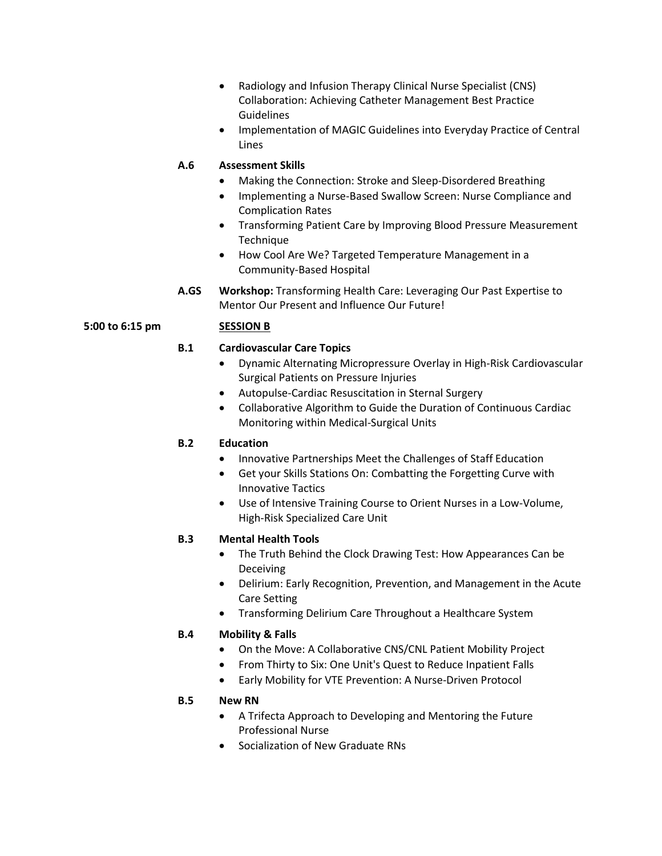- Radiology and Infusion Therapy Clinical Nurse Specialist (CNS) Collaboration: Achieving Catheter Management Best Practice Guidelines
- Implementation of MAGIC Guidelines into Everyday Practice of Central Lines

#### **A.6 Assessment Skills**

- Making the Connection: Stroke and Sleep-Disordered Breathing
- Implementing a Nurse-Based Swallow Screen: Nurse Compliance and Complication Rates
- Transforming Patient Care by Improving Blood Pressure Measurement Technique
- How Cool Are We? Targeted Temperature Management in a Community-Based Hospital
- **A.GS Workshop:** Transforming Health Care: Leveraging Our Past Expertise to Mentor Our Present and Influence Our Future!

#### **5:00 to 6:15 pm SESSION B**

#### **B.1 Cardiovascular Care Topics**

- Dynamic Alternating Micropressure Overlay in High-Risk Cardiovascular Surgical Patients on Pressure Injuries
- Autopulse-Cardiac Resuscitation in Sternal Surgery
- Collaborative Algorithm to Guide the Duration of Continuous Cardiac Monitoring within Medical-Surgical Units

#### **B.2 Education**

- Innovative Partnerships Meet the Challenges of Staff Education
- Get your Skills Stations On: Combatting the Forgetting Curve with Innovative Tactics
- Use of Intensive Training Course to Orient Nurses in a Low-Volume, High-Risk Specialized Care Unit

#### **B.3 Mental Health Tools**

- The Truth Behind the Clock Drawing Test: How Appearances Can be Deceiving
- Delirium: Early Recognition, Prevention, and Management in the Acute Care Setting
- Transforming Delirium Care Throughout a Healthcare System

#### **B.4 Mobility & Falls**

- On the Move: A Collaborative CNS/CNL Patient Mobility Project
- From Thirty to Six: One Unit's Quest to Reduce Inpatient Falls
- Early Mobility for VTE Prevention: A Nurse-Driven Protocol

#### **B.5 New RN**

- A Trifecta Approach to Developing and Mentoring the Future Professional Nurse
- Socialization of New Graduate RNs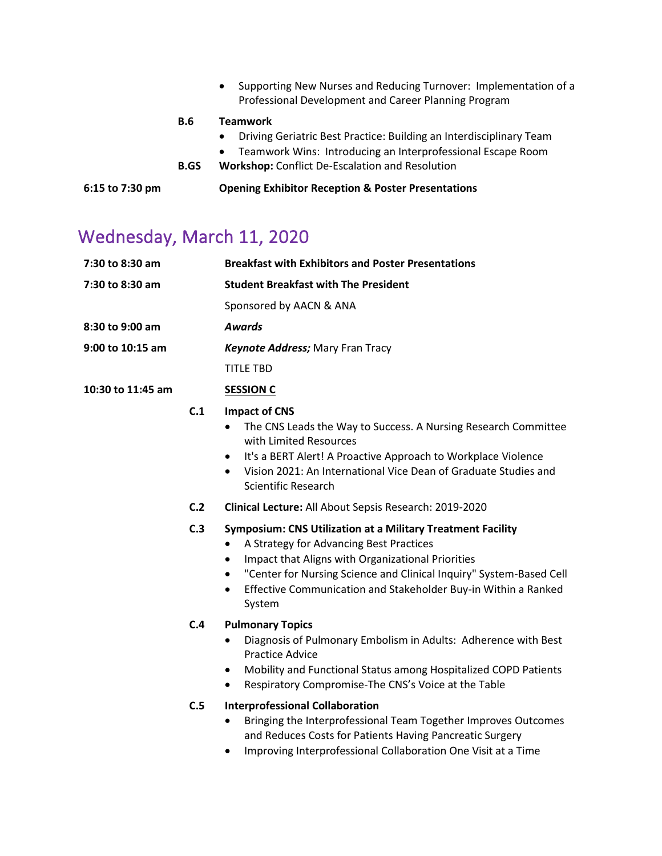| 6:15 to 7:30 pm |             | <b>Opening Exhibitor Reception &amp; Poster Presentations</b>                                                                                                                                                          |
|-----------------|-------------|------------------------------------------------------------------------------------------------------------------------------------------------------------------------------------------------------------------------|
|                 | <b>B.GS</b> | Driving Geriatric Best Practice: Building an Interdisciplinary Team<br>$\bullet$<br>Teamwork Wins: Introducing an Interprofessional Escape Room<br>$\bullet$<br><b>Workshop:</b> Conflict De-Escalation and Resolution |
|                 | <b>B.6</b>  | Supporting New Nurses and Reducing Turnover: Implementation of a<br>$\bullet$<br>Professional Development and Career Planning Program<br><b>Teamwork</b>                                                               |

## Wednesday, March 11, 2020

| 7:30 to 8:30 am   |            | <b>Breakfast with Exhibitors and Poster Presentations</b>                                                                                                                                                                                                                                                                                                          |
|-------------------|------------|--------------------------------------------------------------------------------------------------------------------------------------------------------------------------------------------------------------------------------------------------------------------------------------------------------------------------------------------------------------------|
| 7:30 to 8:30 am   |            | <b>Student Breakfast with The President</b>                                                                                                                                                                                                                                                                                                                        |
|                   |            | Sponsored by AACN & ANA                                                                                                                                                                                                                                                                                                                                            |
| 8:30 to 9:00 am   |            | <b>Awards</b>                                                                                                                                                                                                                                                                                                                                                      |
| 9:00 to 10:15 am  |            | <b>Keynote Address; Mary Fran Tracy</b>                                                                                                                                                                                                                                                                                                                            |
|                   |            | <b>TITLE TBD</b>                                                                                                                                                                                                                                                                                                                                                   |
| 10:30 to 11:45 am |            | <b>SESSION C</b>                                                                                                                                                                                                                                                                                                                                                   |
|                   | C.1        | <b>Impact of CNS</b><br>The CNS Leads the Way to Success. A Nursing Research Committee<br>with Limited Resources<br>It's a BERT Alert! A Proactive Approach to Workplace Violence<br>$\bullet$<br>Vision 2021: An International Vice Dean of Graduate Studies and<br>$\bullet$<br><b>Scientific Research</b>                                                       |
|                   | C.2        | Clinical Lecture: All About Sepsis Research: 2019-2020                                                                                                                                                                                                                                                                                                             |
|                   | C.3        | Symposium: CNS Utilization at a Military Treatment Facility<br>A Strategy for Advancing Best Practices<br>$\bullet$<br>Impact that Aligns with Organizational Priorities<br>$\bullet$<br>"Center for Nursing Science and Clinical Inquiry" System-Based Cell<br>$\bullet$<br>Effective Communication and Stakeholder Buy-in Within a Ranked<br>$\bullet$<br>System |
|                   | C.4<br>C.5 | <b>Pulmonary Topics</b><br>Diagnosis of Pulmonary Embolism in Adults: Adherence with Best<br>$\bullet$<br><b>Practice Advice</b><br>Mobility and Functional Status among Hospitalized COPD Patients<br>$\bullet$<br>Respiratory Compromise-The CNS's Voice at the Table<br>$\bullet$<br><b>Interprofessional Collaboration</b>                                     |
|                   |            | Bringing the Interprofessional Team Together Improves Outcomes<br>$\bullet$<br>and Reduces Costs for Patients Having Pancreatic Surgery<br>Improving Interprofessional Collaboration One Visit at a Time                                                                                                                                                           |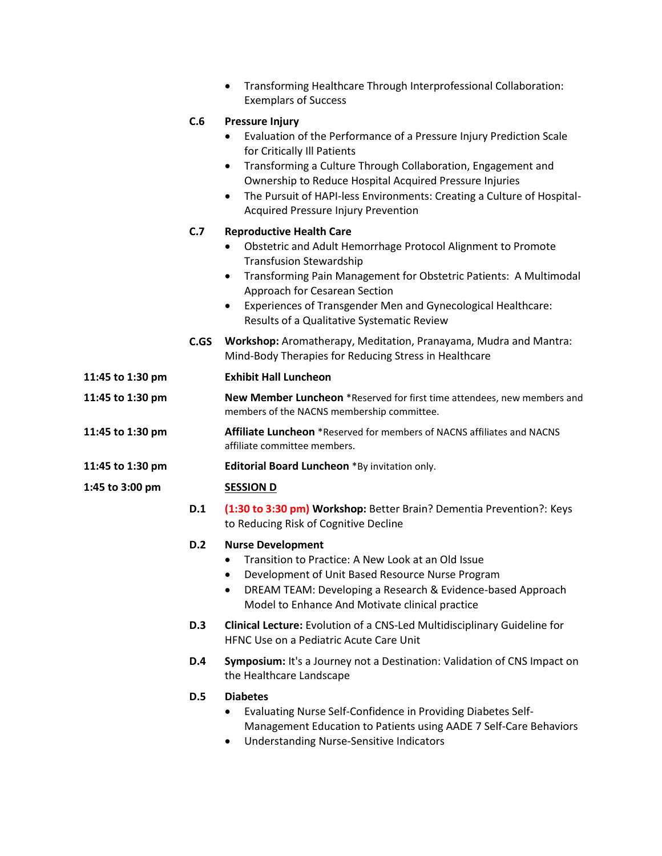|                  |            | Transforming Healthcare Through Interprofessional Collaboration:<br>$\bullet$<br><b>Exemplars of Success</b>                                                                                                                                                                                                                                                                                       |
|------------------|------------|----------------------------------------------------------------------------------------------------------------------------------------------------------------------------------------------------------------------------------------------------------------------------------------------------------------------------------------------------------------------------------------------------|
|                  | C.6        | <b>Pressure Injury</b><br>Evaluation of the Performance of a Pressure Injury Prediction Scale<br>for Critically Ill Patients<br>Transforming a Culture Through Collaboration, Engagement and<br>$\bullet$<br>Ownership to Reduce Hospital Acquired Pressure Injuries<br>The Pursuit of HAPI-less Environments: Creating a Culture of Hospital-<br>$\bullet$<br>Acquired Pressure Injury Prevention |
|                  | C.7        | <b>Reproductive Health Care</b><br>Obstetric and Adult Hemorrhage Protocol Alignment to Promote<br><b>Transfusion Stewardship</b><br>Transforming Pain Management for Obstetric Patients: A Multimodal<br>$\bullet$<br>Approach for Cesarean Section<br>Experiences of Transgender Men and Gynecological Healthcare:<br>$\bullet$<br>Results of a Qualitative Systematic Review                    |
|                  | C.GS       | Workshop: Aromatherapy, Meditation, Pranayama, Mudra and Mantra:<br>Mind-Body Therapies for Reducing Stress in Healthcare                                                                                                                                                                                                                                                                          |
| 11:45 to 1:30 pm |            | <b>Exhibit Hall Luncheon</b>                                                                                                                                                                                                                                                                                                                                                                       |
| 11:45 to 1:30 pm |            | New Member Luncheon *Reserved for first time attendees, new members and<br>members of the NACNS membership committee.                                                                                                                                                                                                                                                                              |
| 11:45 to 1:30 pm |            | <b>Affiliate Luncheon</b> *Reserved for members of NACNS affiliates and NACNS<br>affiliate committee members.                                                                                                                                                                                                                                                                                      |
| 11:45 to 1:30 pm |            | Editorial Board Luncheon *By invitation only.                                                                                                                                                                                                                                                                                                                                                      |
| 1:45 to 3:00 pm  |            | <b>SESSION D</b>                                                                                                                                                                                                                                                                                                                                                                                   |
|                  | D.1        | (1:30 to 3:30 pm) Workshop: Better Brain? Dementia Prevention?: Keys<br>to Reducing Risk of Cognitive Decline                                                                                                                                                                                                                                                                                      |
|                  | D.2        | <b>Nurse Development</b><br>Transition to Practice: A New Look at an Old Issue<br>Development of Unit Based Resource Nurse Program<br>DREAM TEAM: Developing a Research & Evidence-based Approach<br>$\bullet$<br>Model to Enhance And Motivate clinical practice                                                                                                                                  |
|                  | <b>D.3</b> | Clinical Lecture: Evolution of a CNS-Led Multidisciplinary Guideline for<br>HFNC Use on a Pediatric Acute Care Unit                                                                                                                                                                                                                                                                                |
|                  | <b>D.4</b> | Symposium: It's a Journey not a Destination: Validation of CNS Impact on<br>the Healthcare Landscape                                                                                                                                                                                                                                                                                               |
|                  | <b>D.5</b> | <b>Diabetes</b><br>Evaluating Nurse Self-Confidence in Providing Diabetes Self-<br>٠<br>Management Education to Patients using AADE 7 Self-Care Behaviors<br><b>Understanding Nurse-Sensitive Indicators</b>                                                                                                                                                                                       |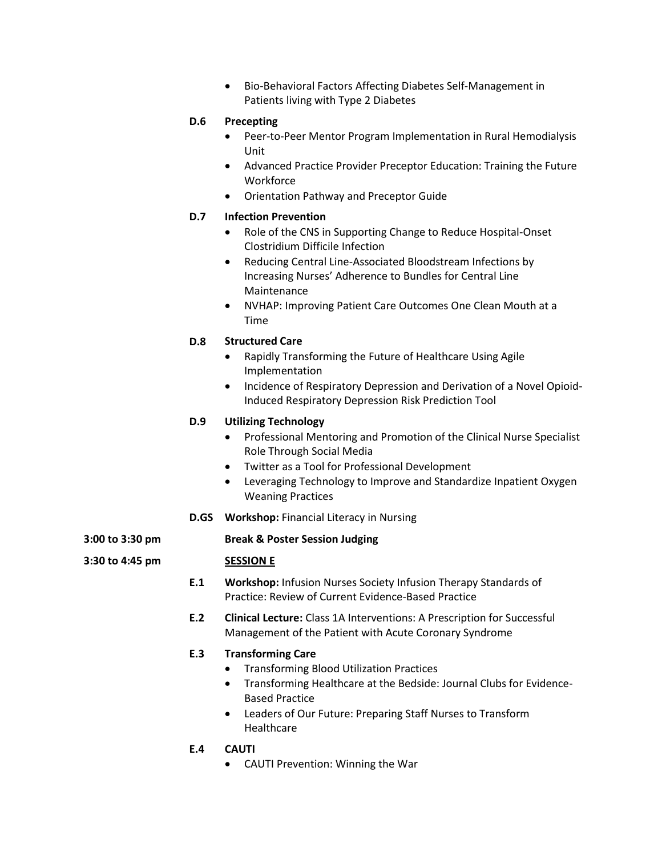• Bio-Behavioral Factors Affecting Diabetes Self-Management in Patients living with Type 2 Diabetes

#### **D.6 Precepting**

- Peer-to-Peer Mentor Program Implementation in Rural Hemodialysis Unit
- Advanced Practice Provider Preceptor Education: Training the Future **Workforce**
- Orientation Pathway and Preceptor Guide

#### **D.7 Infection Prevention**

- Role of the CNS in Supporting Change to Reduce Hospital-Onset Clostridium Difficile Infection
- Reducing Central Line-Associated Bloodstream Infections by Increasing Nurses' Adherence to Bundles for Central Line Maintenance
- NVHAP: Improving Patient Care Outcomes One Clean Mouth at a Time

#### **D.8 Structured Care**

- Rapidly Transforming the Future of Healthcare Using Agile Implementation
- Incidence of Respiratory Depression and Derivation of a Novel Opioid-Induced Respiratory Depression Risk Prediction Tool

#### **D.9 Utilizing Technology**

- Professional Mentoring and Promotion of the Clinical Nurse Specialist Role Through Social Media
- Twitter as a Tool for Professional Development
- Leveraging Technology to Improve and Standardize Inpatient Oxygen Weaning Practices
- **D.GS Workshop:** Financial Literacy in Nursing

**3:00 to 3:30 pm Break & Poster Session Judging**

#### **3:30 to 4:45 pm SESSION E**

- **E.1 Workshop:** Infusion Nurses Society Infusion Therapy Standards of Practice: Review of Current Evidence-Based Practice
- **E.2 Clinical Lecture:** Class 1A Interventions: A Prescription for Successful Management of the Patient with Acute Coronary Syndrome

#### **E.3 Transforming Care**

- Transforming Blood Utilization Practices
- Transforming Healthcare at the Bedside: Journal Clubs for Evidence-Based Practice
- Leaders of Our Future: Preparing Staff Nurses to Transform Healthcare
- **E.4 CAUTI**
	- CAUTI Prevention: Winning the War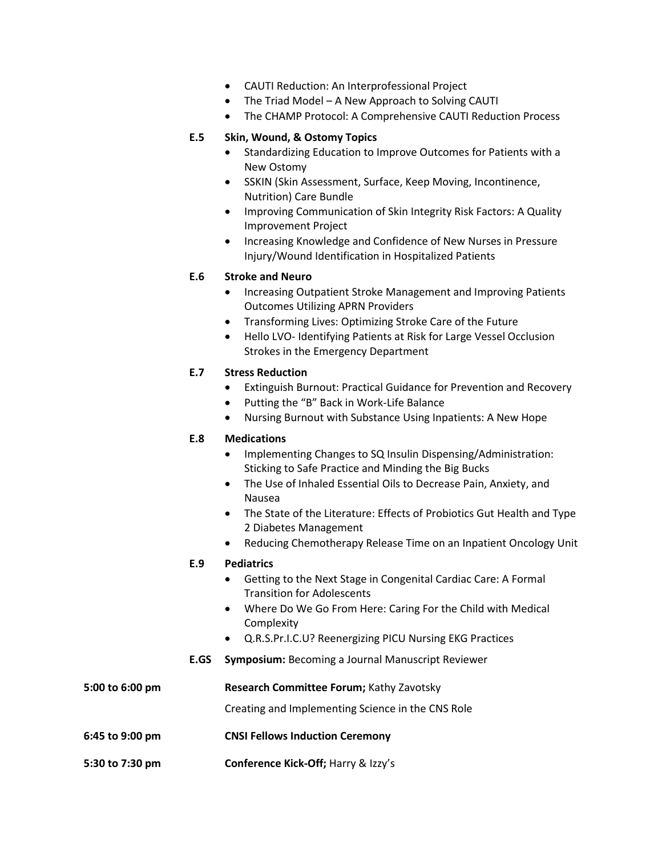- CAUTI Reduction: An Interprofessional Project
- The Triad Model A New Approach to Solving CAUTI
- The CHAMP Protocol: A Comprehensive CAUTI Reduction Process

#### **E.5 Skin, Wound, & Ostomy Topics**

- Standardizing Education to Improve Outcomes for Patients with a New Ostomy
- SSKIN (Skin Assessment, Surface, Keep Moving, Incontinence, Nutrition) Care Bundle
- Improving Communication of Skin Integrity Risk Factors: A Quality Improvement Project
- Increasing Knowledge and Confidence of New Nurses in Pressure Injury/Wound Identification in Hospitalized Patients

#### **E.6 Stroke and Neuro**

- Increasing Outpatient Stroke Management and Improving Patients Outcomes Utilizing APRN Providers
- Transforming Lives: Optimizing Stroke Care of the Future
- Hello LVO- Identifying Patients at Risk for Large Vessel Occlusion Strokes in the Emergency Department

#### **E.7 Stress Reduction**

- Extinguish Burnout: Practical Guidance for Prevention and Recovery
- Putting the "B" Back in Work-Life Balance
- Nursing Burnout with Substance Using Inpatients: A New Hope

#### **E.8 Medications**

- Implementing Changes to SQ Insulin Dispensing/Administration: Sticking to Safe Practice and Minding the Big Bucks
- The Use of Inhaled Essential Oils to Decrease Pain, Anxiety, and Nausea
- The State of the Literature: Effects of Probiotics Gut Health and Type 2 Diabetes Management
- Reducing Chemotherapy Release Time on an Inpatient Oncology Unit

#### **E.9 Pediatrics**

- Getting to the Next Stage in Congenital Cardiac Care: A Formal Transition for Adolescents
- Where Do We Go From Here: Caring For the Child with Medical **Complexity**
- Q.R.S.Pr.I.C.U? Reenergizing PICU Nursing EKG Practices
- **E.GS Symposium:** Becoming a Journal Manuscript Reviewer

| 5:00 to 6:00 pm | <b>Research Committee Forum; Kathy Zavotsky</b>   |  |  |
|-----------------|---------------------------------------------------|--|--|
|                 | Creating and Implementing Science in the CNS Role |  |  |
| 6:45 to 9:00 pm | <b>CNSI Fellows Induction Ceremony</b>            |  |  |
| 5:30 to 7:30 pm | <b>Conference Kick-Off; Harry &amp; Izzy's</b>    |  |  |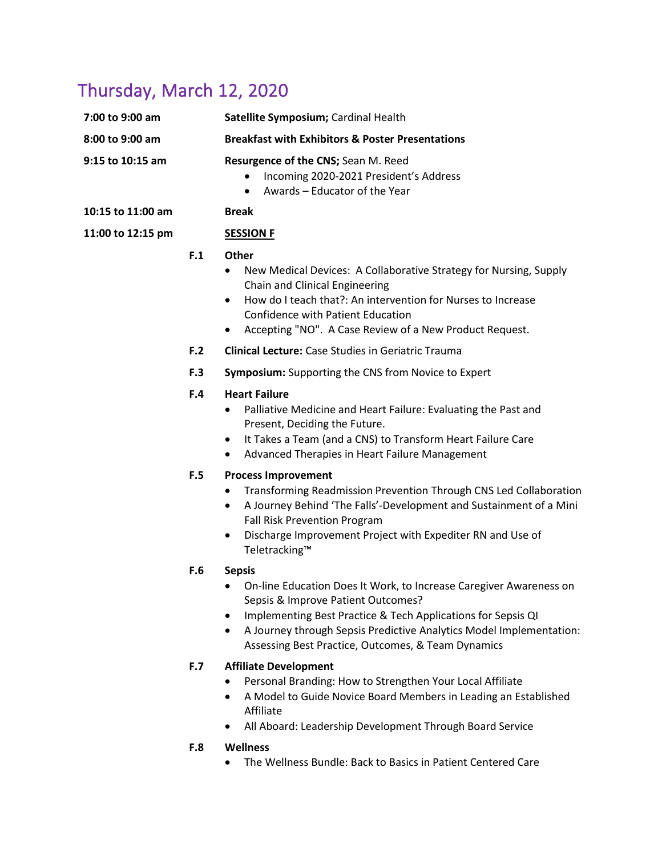## Thursday, March 12, 2020

| 7:00 to 9:00 am                       |     | Satellite Symposium; Cardinal Health                                                                                                                                                                                                                                                                                              |
|---------------------------------------|-----|-----------------------------------------------------------------------------------------------------------------------------------------------------------------------------------------------------------------------------------------------------------------------------------------------------------------------------------|
| 8:00 to 9:00 am                       |     | <b>Breakfast with Exhibitors &amp; Poster Presentations</b>                                                                                                                                                                                                                                                                       |
| 9:15 to 10:15 am<br>10:15 to 11:00 am |     | Resurgence of the CNS; Sean M. Reed<br>Incoming 2020-2021 President's Address<br>Awards - Educator of the Year<br>$\bullet$<br><b>Break</b>                                                                                                                                                                                       |
| 11:00 to 12:15 pm                     |     | <b>SESSION F</b>                                                                                                                                                                                                                                                                                                                  |
|                                       |     |                                                                                                                                                                                                                                                                                                                                   |
|                                       | F.1 | <b>Other</b><br>New Medical Devices: A Collaborative Strategy for Nursing, Supply<br>$\bullet$<br>Chain and Clinical Engineering<br>How do I teach that?: An intervention for Nurses to Increase<br>$\bullet$<br><b>Confidence with Patient Education</b><br>Accepting "NO". A Case Review of a New Product Request.<br>$\bullet$ |
|                                       | F.2 | <b>Clinical Lecture:</b> Case Studies in Geriatric Trauma                                                                                                                                                                                                                                                                         |
|                                       | F.3 | Symposium: Supporting the CNS from Novice to Expert                                                                                                                                                                                                                                                                               |
|                                       | F.4 | <b>Heart Failure</b><br>Palliative Medicine and Heart Failure: Evaluating the Past and<br>Present, Deciding the Future.<br>It Takes a Team (and a CNS) to Transform Heart Failure Care<br>$\bullet$<br>Advanced Therapies in Heart Failure Management<br>$\bullet$                                                                |
|                                       | F.5 | <b>Process Improvement</b><br>Transforming Readmission Prevention Through CNS Led Collaboration<br>$\bullet$<br>A Journey Behind 'The Falls'-Development and Sustainment of a Mini<br>$\bullet$<br>Fall Risk Prevention Program<br>Discharge Improvement Project with Expediter RN and Use of<br>$\bullet$<br>Teletracking™       |
|                                       | F.6 | <b>Sepsis</b><br>On-line Education Does It Work, to Increase Caregiver Awareness on<br>Sepsis & Improve Patient Outcomes?<br>Implementing Best Practice & Tech Applications for Sepsis QI<br>A Journey through Sepsis Predictive Analytics Model Implementation:<br>٠<br>Assessing Best Practice, Outcomes, & Team Dynamics       |
|                                       | F.7 | <b>Affiliate Development</b><br>Personal Branding: How to Strengthen Your Local Affiliate<br>A Model to Guide Novice Board Members in Leading an Established<br>Affiliate                                                                                                                                                         |

• All Aboard: Leadership Development Through Board Service

#### **F.8 Wellness**

• The Wellness Bundle: Back to Basics in Patient Centered Care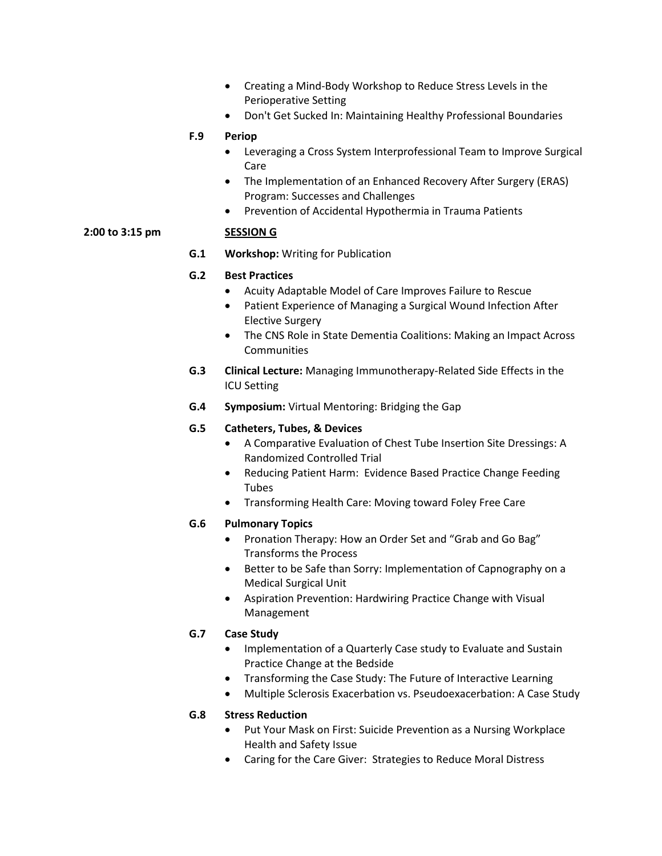- Creating a Mind-Body Workshop to Reduce Stress Levels in the Perioperative Setting
- Don't Get Sucked In: Maintaining Healthy Professional Boundaries

#### **F.9 Periop**

- Leveraging a Cross System Interprofessional Team to Improve Surgical Care
- The Implementation of an Enhanced Recovery After Surgery (ERAS) Program: Successes and Challenges
- Prevention of Accidental Hypothermia in Trauma Patients

#### **2:00 to 3:15 pm SESSION G**

**G.1 Workshop:** Writing for Publication

#### **G.2 Best Practices**

- Acuity Adaptable Model of Care Improves Failure to Rescue
- Patient Experience of Managing a Surgical Wound Infection After Elective Surgery
- The CNS Role in State Dementia Coalitions: Making an Impact Across **Communities**
- **G.3 Clinical Lecture:** Managing Immunotherapy-Related Side Effects in the ICU Setting
- **G.4 Symposium:** Virtual Mentoring: Bridging the Gap

#### **G.5 Catheters, Tubes, & Devices**

- A Comparative Evaluation of Chest Tube Insertion Site Dressings: A Randomized Controlled Trial
- Reducing Patient Harm: Evidence Based Practice Change Feeding Tubes
- Transforming Health Care: Moving toward Foley Free Care

#### **G.6 Pulmonary Topics**

- Pronation Therapy: How an Order Set and "Grab and Go Bag" Transforms the Process
- Better to be Safe than Sorry: Implementation of Capnography on a Medical Surgical Unit
- Aspiration Prevention: Hardwiring Practice Change with Visual Management

#### **G.7 Case Study**

- Implementation of a Quarterly Case study to Evaluate and Sustain Practice Change at the Bedside
- Transforming the Case Study: The Future of Interactive Learning
- Multiple Sclerosis Exacerbation vs. Pseudoexacerbation: A Case Study

#### **G.8 Stress Reduction**

- Put Your Mask on First: Suicide Prevention as a Nursing Workplace Health and Safety Issue
- Caring for the Care Giver: Strategies to Reduce Moral Distress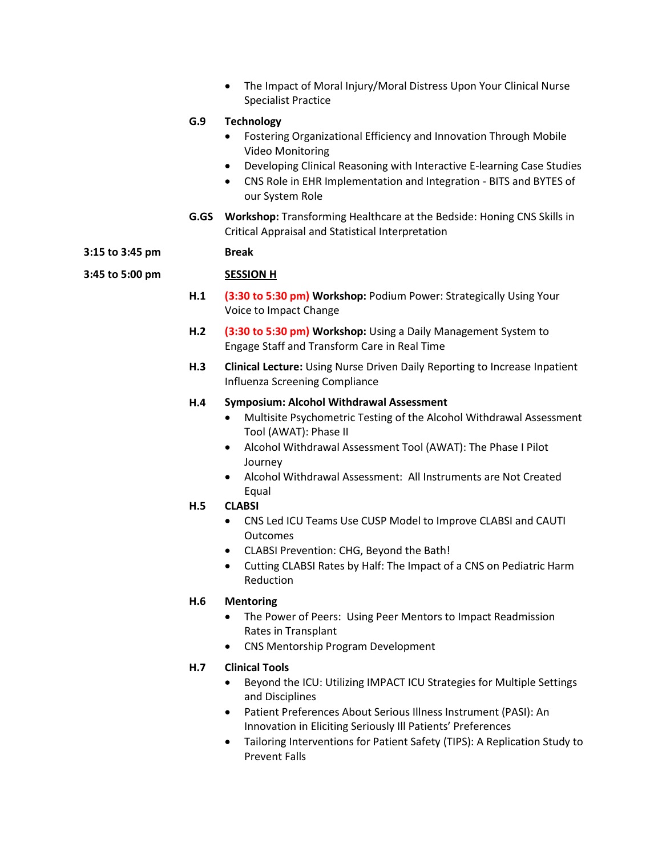• The Impact of Moral Injury/Moral Distress Upon Your Clinical Nurse Specialist Practice **G.9 Technology** • Fostering Organizational Efficiency and Innovation Through Mobile Video Monitoring • Developing Clinical Reasoning with Interactive E-learning Case Studies • CNS Role in EHR Implementation and Integration - BITS and BYTES of our System Role **G.GS Workshop:** Transforming Healthcare at the Bedside: Honing CNS Skills in Critical Appraisal and Statistical Interpretation **3:15 to 3:45 pm Break 3:45 to 5:00 pm SESSION H H.1 (3:30 to 5:30 pm) Workshop:** Podium Power: Strategically Using Your Voice to Impact Change **H.2 (3:30 to 5:30 pm) Workshop:** Using a Daily Management System to Engage Staff and Transform Care in Real Time **H.3 Clinical Lecture:** Using Nurse Driven Daily Reporting to Increase Inpatient Influenza Screening Compliance **H.4 Symposium: Alcohol Withdrawal Assessment** • Multisite Psychometric Testing of the Alcohol Withdrawal Assessment Tool (AWAT): Phase II • Alcohol Withdrawal Assessment Tool (AWAT): The Phase I Pilot Journey • Alcohol Withdrawal Assessment: All Instruments are Not Created Equal **H.5 CLABSI** • CNS Led ICU Teams Use CUSP Model to Improve CLABSI and CAUTI **Outcomes** • CLABSI Prevention: CHG, Beyond the Bath! • Cutting CLABSI Rates by Half: The Impact of a CNS on Pediatric Harm Reduction

#### **H.6 Mentoring**

- The Power of Peers: Using Peer Mentors to Impact Readmission Rates in Transplant
- CNS Mentorship Program Development

#### **H.7 Clinical Tools**

- Beyond the ICU: Utilizing IMPACT ICU Strategies for Multiple Settings and Disciplines
- Patient Preferences About Serious Illness Instrument (PASI): An Innovation in Eliciting Seriously Ill Patients' Preferences
- Tailoring Interventions for Patient Safety (TIPS): A Replication Study to Prevent Falls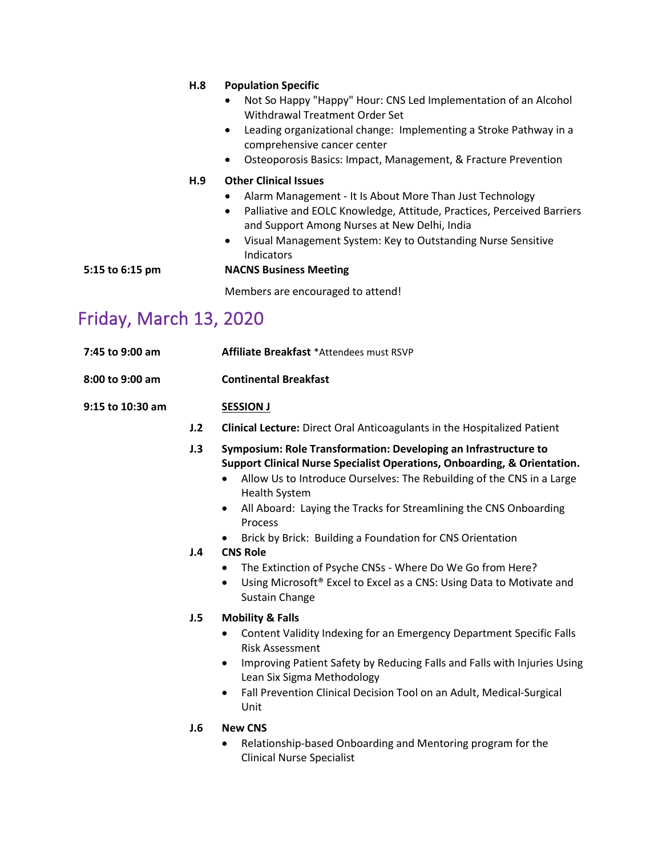|                 | H.8 | <b>Population Specific</b><br>Not So Happy "Happy" Hour: CNS Led Implementation of an Alcohol<br>Withdrawal Treatment Order Set<br>Leading organizational change: Implementing a Stroke Pathway in a<br>$\bullet$<br>comprehensive cancer center<br>Osteoporosis Basics: Impact, Management, & Fracture Prevention<br>$\bullet$                             |
|-----------------|-----|-------------------------------------------------------------------------------------------------------------------------------------------------------------------------------------------------------------------------------------------------------------------------------------------------------------------------------------------------------------|
| 5:15 to 6:15 pm | H.9 | <b>Other Clinical Issues</b><br>Alarm Management - It Is About More Than Just Technology<br>Palliative and EOLC Knowledge, Attitude, Practices, Perceived Barriers<br>$\bullet$<br>and Support Among Nurses at New Delhi, India<br>Visual Management System: Key to Outstanding Nurse Sensitive<br>$\bullet$<br>Indicators<br><b>NACNS Business Meeting</b> |
|                 |     | Members are encouraged to attend!                                                                                                                                                                                                                                                                                                                           |

# Friday, March 13, 2020

| 7:45 to 9:00 am  |            | Affiliate Breakfast *Attendees must RSVP                                                                                                                                                                                                                                                                                                                                                                                                                                                                                                                                                                               |
|------------------|------------|------------------------------------------------------------------------------------------------------------------------------------------------------------------------------------------------------------------------------------------------------------------------------------------------------------------------------------------------------------------------------------------------------------------------------------------------------------------------------------------------------------------------------------------------------------------------------------------------------------------------|
| 8:00 to 9:00 am  |            | <b>Continental Breakfast</b>                                                                                                                                                                                                                                                                                                                                                                                                                                                                                                                                                                                           |
| 9:15 to 10:30 am |            | <b>SESSION J</b>                                                                                                                                                                                                                                                                                                                                                                                                                                                                                                                                                                                                       |
|                  | J.2        | <b>Clinical Lecture:</b> Direct Oral Anticoagulants in the Hospitalized Patient                                                                                                                                                                                                                                                                                                                                                                                                                                                                                                                                        |
|                  | J.3<br>J.4 | Symposium: Role Transformation: Developing an Infrastructure to<br>Support Clinical Nurse Specialist Operations, Onboarding, & Orientation.<br>Allow Us to Introduce Ourselves: The Rebuilding of the CNS in a Large<br>$\bullet$<br><b>Health System</b><br>All Aboard: Laying the Tracks for Streamlining the CNS Onboarding<br>$\bullet$<br>Process<br>Brick by Brick: Building a Foundation for CNS Orientation<br><b>CNS Role</b><br>The Extinction of Psyche CNSs - Where Do We Go from Here?<br>Using Microsoft <sup>®</sup> Excel to Excel as a CNS: Using Data to Motivate and<br>$\bullet$<br>Sustain Change |
|                  | J.5        | <b>Mobility &amp; Falls</b><br>Content Validity Indexing for an Emergency Department Specific Falls<br><b>Risk Assessment</b><br>Improving Patient Safety by Reducing Falls and Falls with Injuries Using<br>$\bullet$<br>Lean Six Sigma Methodology<br>Fall Prevention Clinical Decision Tool on an Adult, Medical-Surgical<br>$\bullet$<br>Unit                                                                                                                                                                                                                                                                      |
|                  | J.6        | <b>New CNS</b><br>Relationship-based Onboarding and Mentoring program for the<br><b>Clinical Nurse Specialist</b>                                                                                                                                                                                                                                                                                                                                                                                                                                                                                                      |